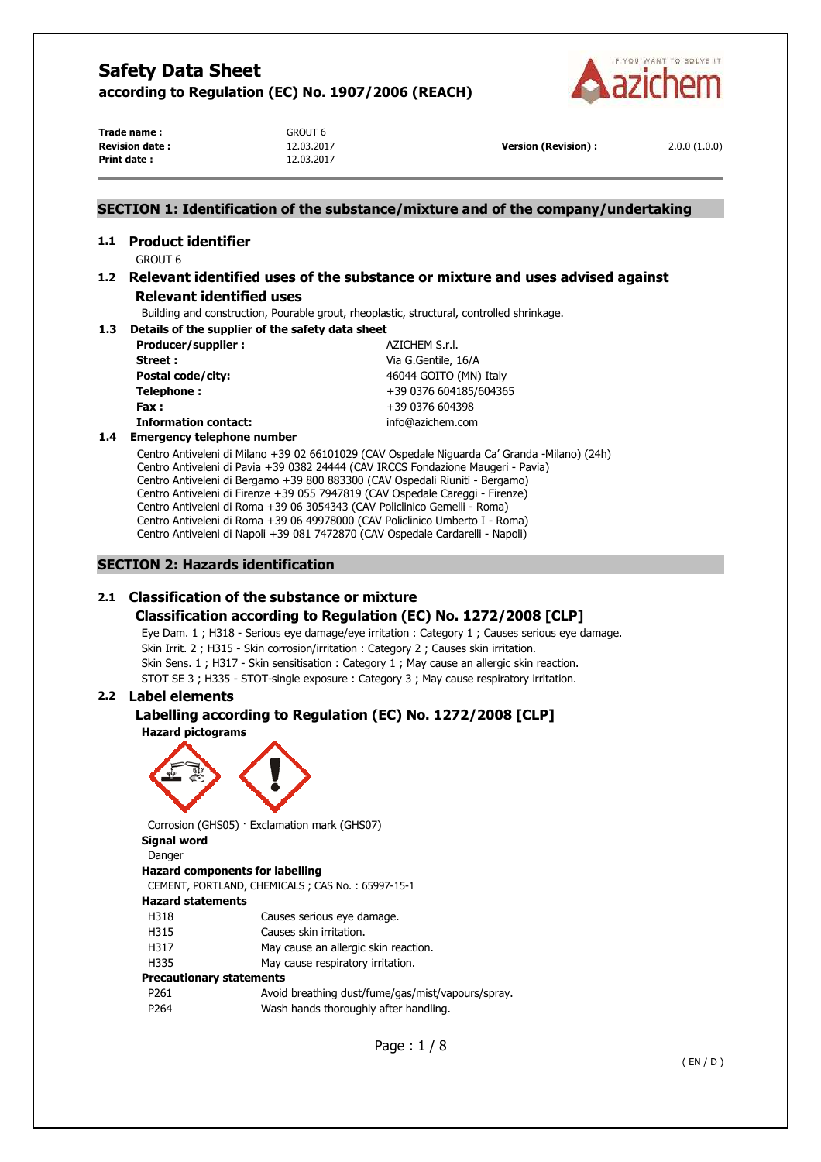

**Trade name :** GROUT 6 **Revision date :** 12.03.2017 **Version (Revision) :** 2.0.0 (1.0.0) **Print date :** 12.03.2017

### **SECTION 1: Identification of the substance/mixture and of the company/undertaking**

# **1.1 Product identifier**

GROUT 6

### **1.2 Relevant identified uses of the substance or mixture and uses advised against Relevant identified uses**

Building and construction, Pourable grout, rheoplastic, structural, controlled shrinkage.

**1.3 Details of the supplier of the safety data sheet Producer/supplier :**  $AZICHEM S.r.l.$ 

| <b>Producer/Supplier</b>    | AZIUTEM 3.I.I.      |
|-----------------------------|---------------------|
| Street :                    | Via G.Gentile, 16/A |
| Postal code/city:           | 46044 GOITO (MN)    |
| Telephone:                  | +39 0376 604185/    |
| Fax :                       | +39 0376 604398     |
| <b>Information contact:</b> | info@azichem.com    |

**Street :** Via G.Gentile, 16/A **Postal code/city:** 46044 GOITO (MN) Italy **Telephone :** +39 0376 604185/604365 **Fax :** +39 0376 604398

### **1.4 Emergency telephone number**

Centro Antiveleni di Milano +39 02 66101029 (CAV Ospedale Niguarda Ca' Granda -Milano) (24h) Centro Antiveleni di Pavia +39 0382 24444 (CAV IRCCS Fondazione Maugeri - Pavia) Centro Antiveleni di Bergamo +39 800 883300 (CAV Ospedali Riuniti - Bergamo) Centro Antiveleni di Firenze +39 055 7947819 (CAV Ospedale Careggi - Firenze) Centro Antiveleni di Roma +39 06 3054343 (CAV Policlinico Gemelli - Roma) Centro Antiveleni di Roma +39 06 49978000 (CAV Policlinico Umberto I - Roma) Centro Antiveleni di Napoli +39 081 7472870 (CAV Ospedale Cardarelli - Napoli)

### **SECTION 2: Hazards identification**

### **2.1 Classification of the substance or mixture**

### **Classification according to Regulation (EC) No. 1272/2008 [CLP]**

Eye Dam. 1 ; H318 - Serious eye damage/eye irritation : Category 1 ; Causes serious eye damage. Skin Irrit. 2 ; H315 - Skin corrosion/irritation : Category 2 ; Causes skin irritation. Skin Sens. 1 ; H317 - Skin sensitisation : Category 1 ; May cause an allergic skin reaction. STOT SE 3 ; H335 - STOT-single exposure : Category 3 ; May cause respiratory irritation.

### **2.2 Label elements**

### **Labelling according to Regulation (EC) No. 1272/2008 [CLP] Hazard pictograms**



Corrosion (GHS05) · Exclamation mark (GHS07)

# **Signal word**

Danger **Hazard components for labelling**  CEMENT, PORTLAND, CHEMICALS ; CAS No. : 65997-15-1 **Hazard statements**  H318 Causes serious eye damage. H315 Causes skin irritation. H317 May cause an allergic skin reaction. H335 May cause respiratory irritation. **Precautionary statements**  P261 Avoid breathing dust/fume/gas/mist/vapours/spray. P264 Wash hands thoroughly after handling.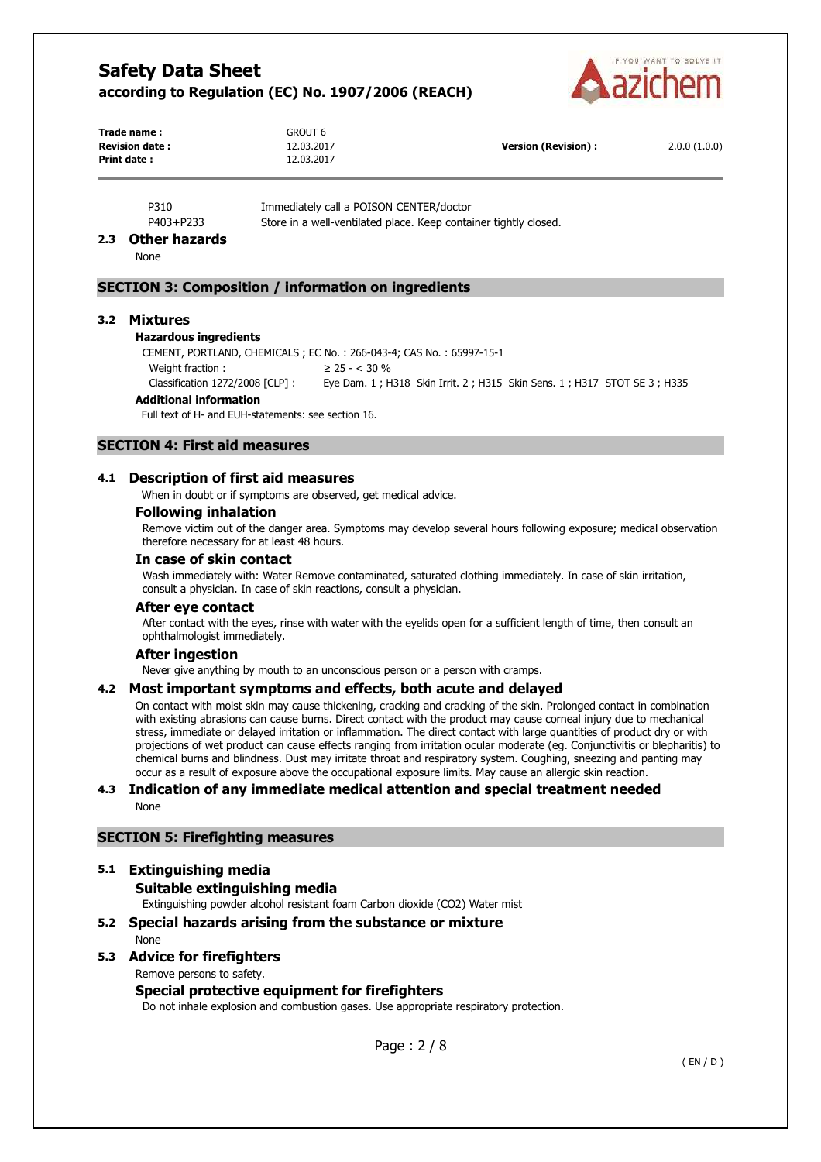

| Trade name:            | <b>GROUT 6</b> |                      |              |
|------------------------|----------------|----------------------|--------------|
| <b>Revision date :</b> | 12.03.2017     | Version (Revision) : | 2.0.0(1.0.0) |
| Print date:            | 12.03.2017     |                      |              |

P310 Immediately call a POISON CENTER/doctor P403+P233 Store in a well-ventilated place. Keep container tightly closed.

### **2.3 Other hazards**

None

### **SECTION 3: Composition / information on ingredients**

#### **3.2 Mixtures**

#### **Hazardous ingredients**

CEMENT, PORTLAND, CHEMICALS ; EC No. : 266-043-4; CAS No. : 65997-15-1 Weight fraction :  $\geq 25 -  $30\%$$ Classification 1272/2008 [CLP] : Eye Dam. 1 ; H318 Skin Irrit. 2 ; H315 Skin Sens. 1 ; H317 STOT SE 3 ; H335

#### **Additional information**

Full text of H- and EUH-statements: see section 16.

### **SECTION 4: First aid measures**

### **4.1 Description of first aid measures**

When in doubt or if symptoms are observed, get medical advice.

#### **Following inhalation**

Remove victim out of the danger area. Symptoms may develop several hours following exposure; medical observation therefore necessary for at least 48 hours.

#### **In case of skin contact**

Wash immediately with: Water Remove contaminated, saturated clothing immediately. In case of skin irritation, consult a physician. In case of skin reactions, consult a physician.

#### **After eye contact**

After contact with the eyes, rinse with water with the eyelids open for a sufficient length of time, then consult an ophthalmologist immediately.

#### **After ingestion**

Never give anything by mouth to an unconscious person or a person with cramps.

#### **4.2 Most important symptoms and effects, both acute and delayed**

On contact with moist skin may cause thickening, cracking and cracking of the skin. Prolonged contact in combination with existing abrasions can cause burns. Direct contact with the product may cause corneal injury due to mechanical stress, immediate or delayed irritation or inflammation. The direct contact with large quantities of product dry or with projections of wet product can cause effects ranging from irritation ocular moderate (eg. Conjunctivitis or blepharitis) to chemical burns and blindness. Dust may irritate throat and respiratory system. Coughing, sneezing and panting may occur as a result of exposure above the occupational exposure limits. May cause an allergic skin reaction.

### **4.3 Indication of any immediate medical attention and special treatment needed**  None

### **SECTION 5: Firefighting measures**

# **5.1 Extinguishing media**

# **Suitable extinguishing media**

Extinguishing powder alcohol resistant foam Carbon dioxide (CO2) Water mist

### **5.2 Special hazards arising from the substance or mixture**  None

### **5.3 Advice for firefighters**

Remove persons to safety.

### **Special protective equipment for firefighters**

Do not inhale explosion and combustion gases. Use appropriate respiratory protection.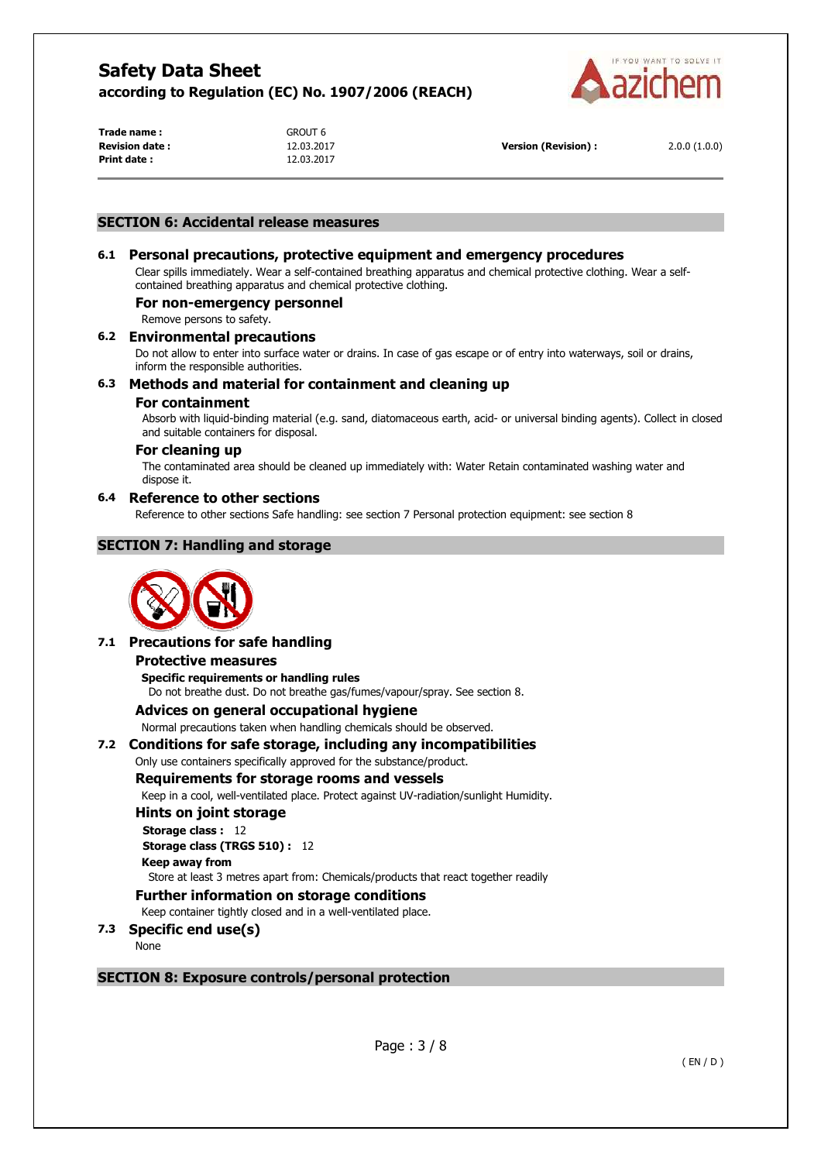

| Trade name :          |  |
|-----------------------|--|
| <b>Revision date:</b> |  |
| <b>Print date :</b>   |  |

GROUT 6 **Print date :** 12.03.2017

**Revision date :** 12.03.2017 **Version (Revision) :** 2.0.0 (1.0.0)

### **SECTION 6: Accidental release measures**

### **6.1 Personal precautions, protective equipment and emergency procedures**

Clear spills immediately. Wear a self-contained breathing apparatus and chemical protective clothing. Wear a selfcontained breathing apparatus and chemical protective clothing.

### **For non-emergency personnel**

Remove persons to safety.

### **6.2 Environmental precautions**

Do not allow to enter into surface water or drains. In case of gas escape or of entry into waterways, soil or drains, inform the responsible authorities.

### **6.3 Methods and material for containment and cleaning up**

### **For containment**

Absorb with liquid-binding material (e.g. sand, diatomaceous earth, acid- or universal binding agents). Collect in closed and suitable containers for disposal.

### **For cleaning up**

The contaminated area should be cleaned up immediately with: Water Retain contaminated washing water and dispose it.

### **6.4 Reference to other sections**

Reference to other sections Safe handling: see section 7 Personal protection equipment: see section 8

### **SECTION 7: Handling and storage**



### **7.1 Precautions for safe handling**

#### **Protective measures**

**Specific requirements or handling rules**  Do not breathe dust. Do not breathe gas/fumes/vapour/spray. See section 8.

#### **Advices on general occupational hygiene**

Normal precautions taken when handling chemicals should be observed.

### **7.2 Conditions for safe storage, including any incompatibilities**

Only use containers specifically approved for the substance/product.

### **Requirements for storage rooms and vessels**

Keep in a cool, well-ventilated place. Protect against UV-radiation/sunlight Humidity.

#### **Hints on joint storage**

**Storage class :** 12 **Storage class (TRGS 510) :** 12

### **Keep away from**

Store at least 3 metres apart from: Chemicals/products that react together readily

### **Further information on storage conditions**

Keep container tightly closed and in a well-ventilated place.

### **7.3 Specific end use(s)**

None

### **SECTION 8: Exposure controls/personal protection**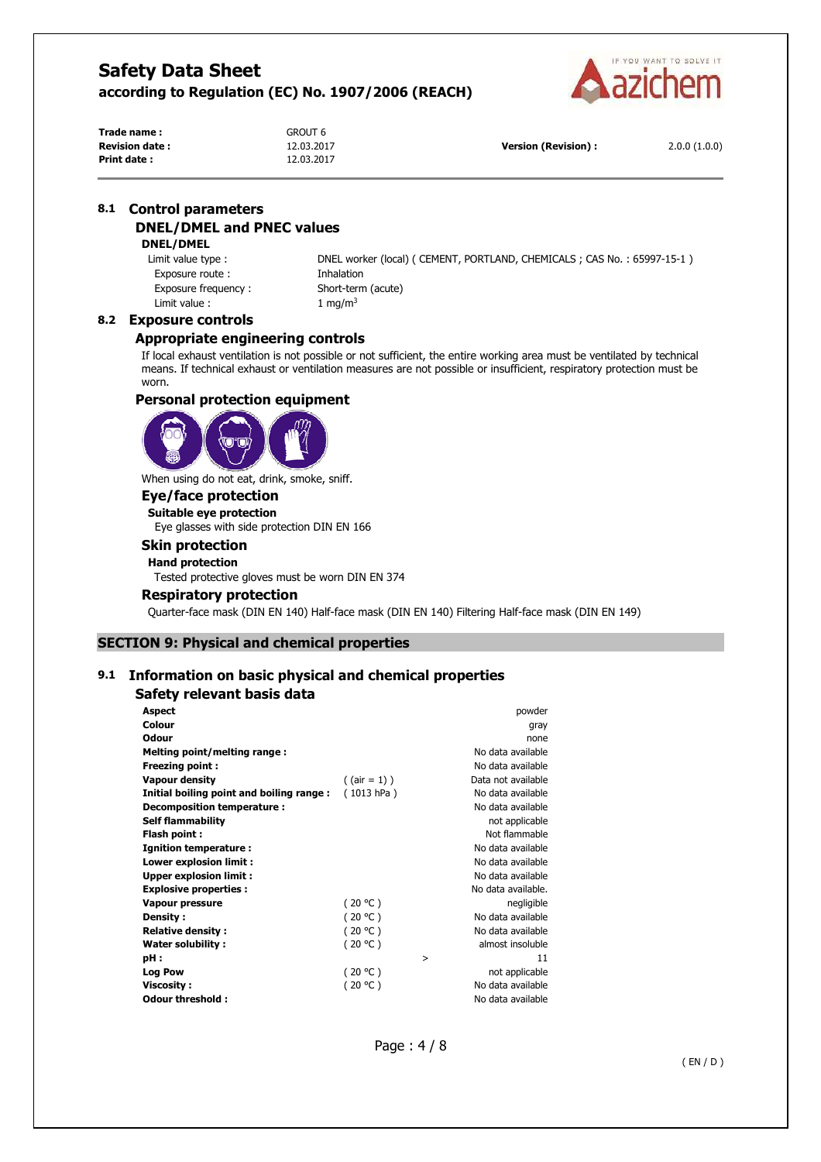

| Trade name :           | GROUT 6    |
|------------------------|------------|
| <b>Revision date :</b> | 12.03.2017 |
| Print date :           | 12.03.2017 |

**Version (Revision) :** 2.0.0 (1.0.0)

### **8.1 Control parameters DNEL/DMEL and PNEC values**

### **DNEL/DMEL**

Exposure route : Thalation Exposure frequency : Short-term (acute) Limit value :  $1 \text{ mg/m}^3$ 

Limit value type : DNEL worker (local) ( CEMENT, PORTLAND, CHEMICALS ; CAS No. : 65997-15-1 )

### **8.2 Exposure controls**

### **Appropriate engineering controls**

If local exhaust ventilation is not possible or not sufficient, the entire working area must be ventilated by technical means. If technical exhaust or ventilation measures are not possible or insufficient, respiratory protection must be worn.

### **Personal protection equipment**



When using do not eat, drink, smoke, sniff.

### **Eye/face protection**

**Suitable eye protection** 

Eye glasses with side protection DIN EN 166

### **Skin protection**

**Hand protection** 

Tested protective gloves must be worn DIN EN 374

### **Respiratory protection**

Quarter-face mask (DIN EN 140) Half-face mask (DIN EN 140) Filtering Half-face mask (DIN EN 149)

### **SECTION 9: Physical and chemical properties**

### **9.1 Information on basic physical and chemical properties**

### **Safety relevant basis data**

| <b>Aspect</b>                            |                 | powder             |
|------------------------------------------|-----------------|--------------------|
| Colour                                   |                 | gray               |
| Odour                                    |                 | none               |
| Melting point/melting range:             |                 | No data available  |
| <b>Freezing point:</b>                   |                 | No data available  |
| <b>Vapour density</b>                    | $($ (air = 1) ) | Data not available |
| Initial boiling point and boiling range: | (1013 hPa)      | No data available  |
| Decomposition temperature:               |                 | No data available  |
| <b>Self flammability</b>                 |                 | not applicable     |
| Flash point :                            |                 | Not flammable      |
| <b>Ignition temperature:</b>             |                 | No data available  |
| Lower explosion limit :                  |                 | No data available  |
| <b>Upper explosion limit:</b>            |                 | No data available  |
| <b>Explosive properties:</b>             |                 | No data available. |
| Vapour pressure                          | (20 °C)         | negligible         |
| Density :                                | (20 °C)         | No data available  |
| <b>Relative density:</b>                 | (20 °C)         | No data available  |
| Water solubility:                        | (20 °C)         | almost insoluble   |
| pH:                                      |                 | 11<br>>            |
| <b>Log Pow</b>                           | (20 °C)         | not applicable     |
| <b>Viscosity:</b>                        | (20 °C)         | No data available  |
| Odour threshold :                        |                 | No data available  |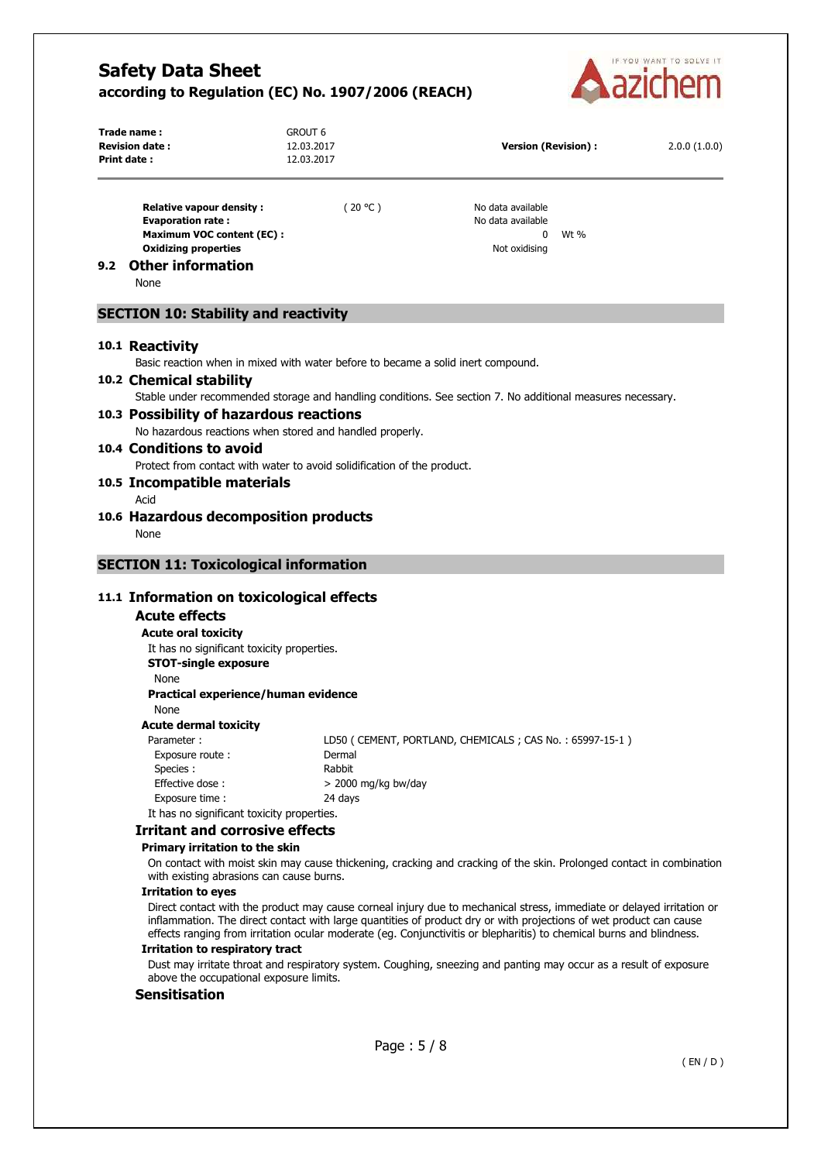

| Trade name:<br><b>Revision date:</b><br>Print date:                                        | <b>GROUT 6</b><br>12.03.2017<br>12.03.2017                                                          |                       | <b>Version (Revision):</b>                                                                                                                                                                                                                                                                                                                                          |      | 2.0.0(1.0.0) |
|--------------------------------------------------------------------------------------------|-----------------------------------------------------------------------------------------------------|-----------------------|---------------------------------------------------------------------------------------------------------------------------------------------------------------------------------------------------------------------------------------------------------------------------------------------------------------------------------------------------------------------|------|--------------|
| <b>Evaporation rate:</b><br><b>Oxidizing properties</b><br><b>Other information</b><br>9.2 | <b>Relative vapour density:</b><br><b>Maximum VOC content (EC):</b>                                 | (20 °C)               | No data available<br>No data available<br>0<br>Not oxidising                                                                                                                                                                                                                                                                                                        | Wt % |              |
| None                                                                                       |                                                                                                     |                       |                                                                                                                                                                                                                                                                                                                                                                     |      |              |
|                                                                                            | <b>SECTION 10: Stability and reactivity</b>                                                         |                       |                                                                                                                                                                                                                                                                                                                                                                     |      |              |
| 10.1 Reactivity                                                                            | Basic reaction when in mixed with water before to became a solid inert compound.                    |                       |                                                                                                                                                                                                                                                                                                                                                                     |      |              |
| 10.2 Chemical stability                                                                    |                                                                                                     |                       | Stable under recommended storage and handling conditions. See section 7. No additional measures necessary.                                                                                                                                                                                                                                                          |      |              |
|                                                                                            | 10.3 Possibility of hazardous reactions<br>No hazardous reactions when stored and handled properly. |                       |                                                                                                                                                                                                                                                                                                                                                                     |      |              |
| 10.4 Conditions to avoid                                                                   | Protect from contact with water to avoid solidification of the product.                             |                       |                                                                                                                                                                                                                                                                                                                                                                     |      |              |
| Acid                                                                                       | 10.5 Incompatible materials                                                                         |                       |                                                                                                                                                                                                                                                                                                                                                                     |      |              |
|                                                                                            | 10.6 Hazardous decomposition products                                                               |                       |                                                                                                                                                                                                                                                                                                                                                                     |      |              |
| None                                                                                       |                                                                                                     |                       |                                                                                                                                                                                                                                                                                                                                                                     |      |              |
|                                                                                            | <b>SECTION 11: Toxicological information</b>                                                        |                       |                                                                                                                                                                                                                                                                                                                                                                     |      |              |
|                                                                                            |                                                                                                     |                       |                                                                                                                                                                                                                                                                                                                                                                     |      |              |
| <b>Acute effects</b>                                                                       | 11.1 Information on toxicological effects                                                           |                       |                                                                                                                                                                                                                                                                                                                                                                     |      |              |
| <b>Acute oral toxicity</b>                                                                 |                                                                                                     |                       |                                                                                                                                                                                                                                                                                                                                                                     |      |              |
|                                                                                            | It has no significant toxicity properties.                                                          |                       |                                                                                                                                                                                                                                                                                                                                                                     |      |              |
| None                                                                                       | <b>STOT-single exposure</b>                                                                         |                       |                                                                                                                                                                                                                                                                                                                                                                     |      |              |
| None                                                                                       | Practical experience/human evidence                                                                 |                       |                                                                                                                                                                                                                                                                                                                                                                     |      |              |
|                                                                                            | <b>Acute dermal toxicity</b>                                                                        |                       |                                                                                                                                                                                                                                                                                                                                                                     |      |              |
| Parameter:<br>Species :                                                                    | Exposure route:                                                                                     | Dermal<br>Rabbit      | LD50 (CEMENT, PORTLAND, CHEMICALS; CAS No.: 65997-15-1)                                                                                                                                                                                                                                                                                                             |      |              |
| Effective dose:                                                                            |                                                                                                     | $>$ 2000 mg/kg bw/day |                                                                                                                                                                                                                                                                                                                                                                     |      |              |
| Exposure time :                                                                            | It has no significant toxicity properties.                                                          | 24 days               |                                                                                                                                                                                                                                                                                                                                                                     |      |              |
|                                                                                            | <b>Irritant and corrosive effects</b>                                                               |                       |                                                                                                                                                                                                                                                                                                                                                                     |      |              |
|                                                                                            | Primary irritation to the skin                                                                      |                       |                                                                                                                                                                                                                                                                                                                                                                     |      |              |
|                                                                                            | with existing abrasions can cause burns.                                                            |                       | On contact with moist skin may cause thickening, cracking and cracking of the skin. Prolonged contact in combination                                                                                                                                                                                                                                                |      |              |
| <b>Irritation to eyes</b>                                                                  |                                                                                                     |                       |                                                                                                                                                                                                                                                                                                                                                                     |      |              |
|                                                                                            |                                                                                                     |                       | Direct contact with the product may cause corneal injury due to mechanical stress, immediate or delayed irritation or<br>inflammation. The direct contact with large quantities of product dry or with projections of wet product can cause<br>effects ranging from irritation ocular moderate (eg. Conjunctivitis or blepharitis) to chemical burns and blindness. |      |              |
|                                                                                            | <b>Irritation to respiratory tract</b>                                                              |                       |                                                                                                                                                                                                                                                                                                                                                                     |      |              |
|                                                                                            |                                                                                                     |                       | Dust may irritate throat and respiratory system. Coughing, sneezing and panting may occur as a result of exposure                                                                                                                                                                                                                                                   |      |              |
|                                                                                            | above the occupational exposure limits.                                                             |                       |                                                                                                                                                                                                                                                                                                                                                                     |      |              |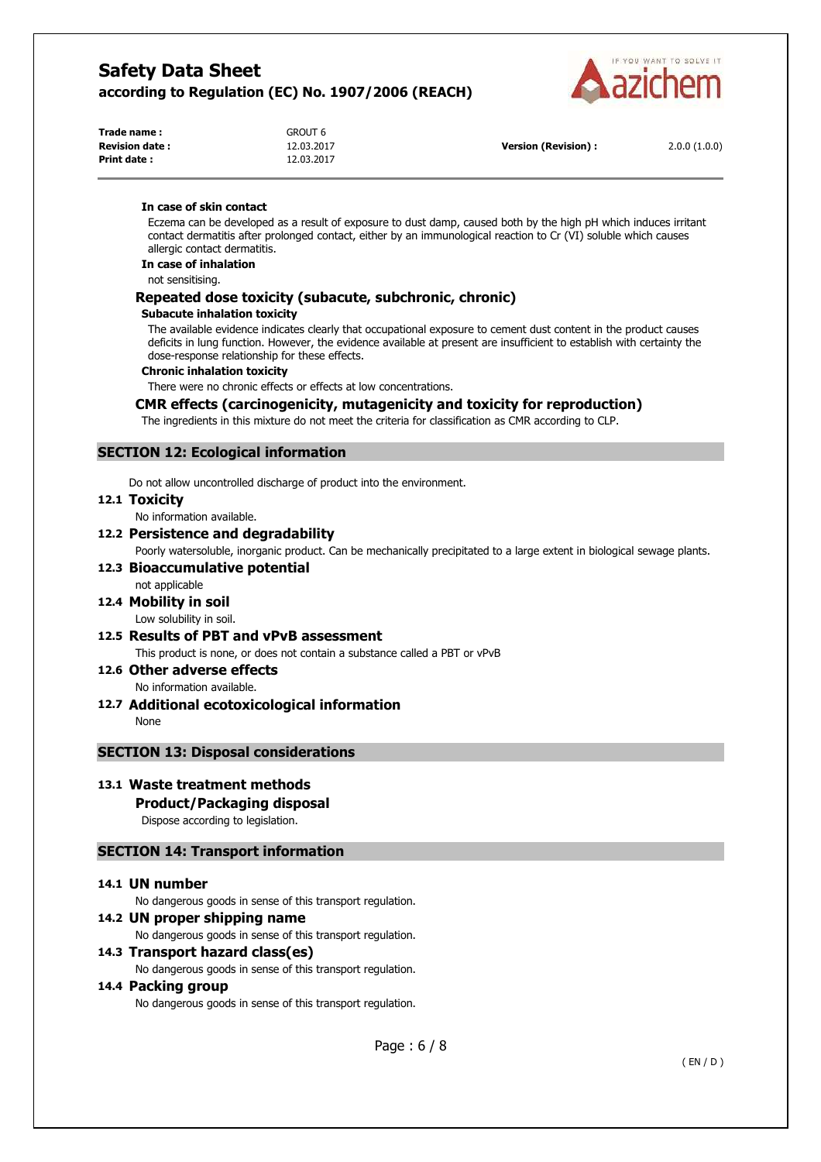

| Trade name:           | GROUT 6    |
|-----------------------|------------|
| <b>Revision date:</b> | 12.03.2017 |
| Print date :          | 12.03.2017 |

**Version (Revision) :** 2.0.0 (1.0.0)

#### **In case of skin contact**

Eczema can be developed as a result of exposure to dust damp, caused both by the high pH which induces irritant contact dermatitis after prolonged contact, either by an immunological reaction to Cr (VI) soluble which causes allergic contact dermatitis.

**In case of inhalation** 

not sensitising.

### **Repeated dose toxicity (subacute, subchronic, chronic)**

#### **Subacute inhalation toxicity**

The available evidence indicates clearly that occupational exposure to cement dust content in the product causes deficits in lung function. However, the evidence available at present are insufficient to establish with certainty the dose-response relationship for these effects.

#### **Chronic inhalation toxicity**

There were no chronic effects or effects at low concentrations.

### **CMR effects (carcinogenicity, mutagenicity and toxicity for reproduction)**

The ingredients in this mixture do not meet the criteria for classification as CMR according to CLP.

### **SECTION 12: Ecological information**

Do not allow uncontrolled discharge of product into the environment.

#### **12.1 Toxicity**

No information available.

### **12.2 Persistence and degradability**

Poorly watersoluble, inorganic product. Can be mechanically precipitated to a large extent in biological sewage plants.

#### **12.3 Bioaccumulative potential**  not applicable

**12.4 Mobility in soil** 

Low solubility in soil.

**12.5 Results of PBT and vPvB assessment**  This product is none, or does not contain a substance called a PBT or vPvB

# **12.6 Other adverse effects**

No information available.

### **12.7 Additional ecotoxicological information**

None

### **SECTION 13: Disposal considerations**

### **13.1 Waste treatment methods**

### **Product/Packaging disposal**

Dispose according to legislation.

### **SECTION 14: Transport information**

### **14.1 UN number**

No dangerous goods in sense of this transport regulation.

### **14.2 UN proper shipping name**

No dangerous goods in sense of this transport regulation.

### **14.3 Transport hazard class(es)**

No dangerous goods in sense of this transport regulation.

#### **14.4 Packing group**

No dangerous goods in sense of this transport regulation.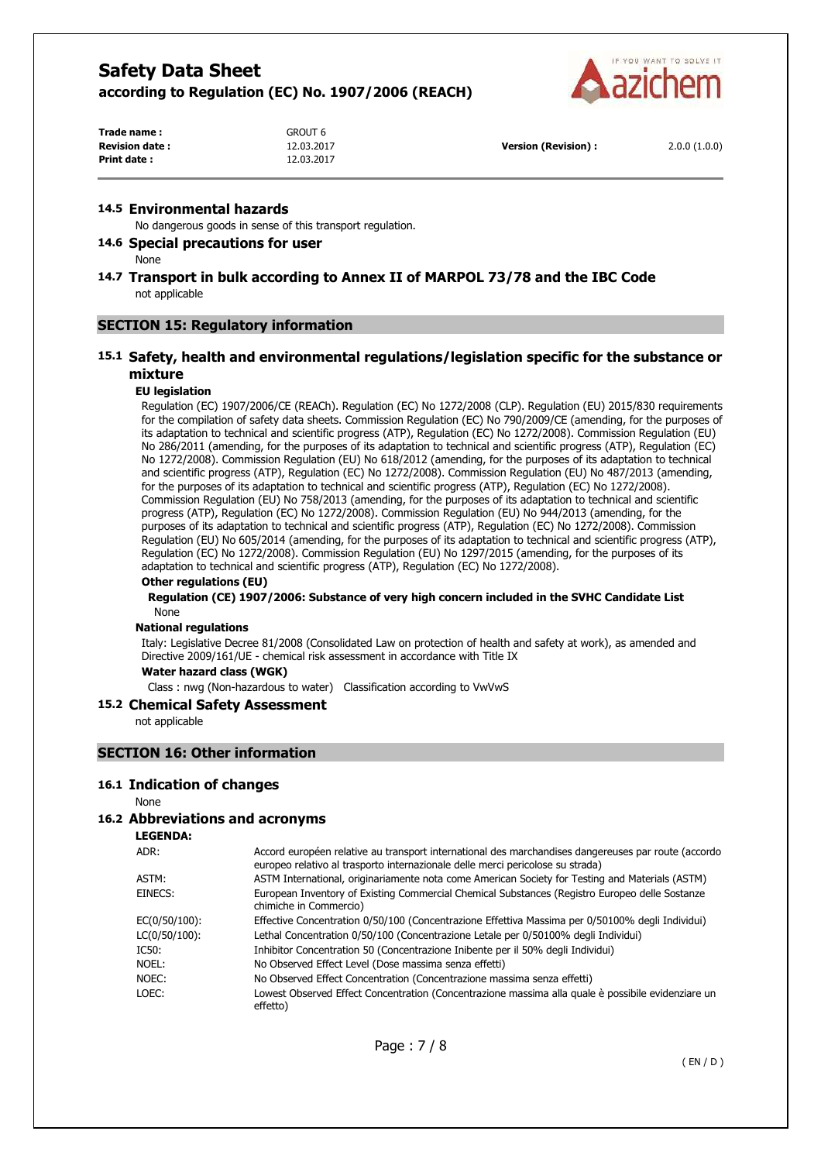

| Trade name:           | GROUT 6    |                      |              |
|-----------------------|------------|----------------------|--------------|
| <b>Revision date:</b> | 12.03.2017 | Version (Revision) : | 2.0.0(1.0.0) |
| <b>Print date:</b>    | 12.03.2017 |                      |              |

#### **14.5 Environmental hazards**

No dangerous goods in sense of this transport regulation.

### **14.6 Special precautions for user**

None

### **14.7 Transport in bulk according to Annex II of MARPOL 73/78 and the IBC Code**  not applicable

### **SECTION 15: Regulatory information**

### **15.1 Safety, health and environmental regulations/legislation specific for the substance or mixture**

### **EU legislation**

Regulation (EC) 1907/2006/CE (REACh). Regulation (EC) No 1272/2008 (CLP). Regulation (EU) 2015/830 requirements for the compilation of safety data sheets. Commission Regulation (EC) No 790/2009/CE (amending, for the purposes of its adaptation to technical and scientific progress (ATP), Regulation (EC) No 1272/2008). Commission Regulation (EU) No 286/2011 (amending, for the purposes of its adaptation to technical and scientific progress (ATP), Regulation (EC) No 1272/2008). Commission Regulation (EU) No 618/2012 (amending, for the purposes of its adaptation to technical and scientific progress (ATP), Regulation (EC) No 1272/2008). Commission Regulation (EU) No 487/2013 (amending, for the purposes of its adaptation to technical and scientific progress (ATP), Regulation (EC) No 1272/2008). Commission Regulation (EU) No 758/2013 (amending, for the purposes of its adaptation to technical and scientific progress (ATP), Regulation (EC) No 1272/2008). Commission Regulation (EU) No 944/2013 (amending, for the purposes of its adaptation to technical and scientific progress (ATP), Regulation (EC) No 1272/2008). Commission Regulation (EU) No 605/2014 (amending, for the purposes of its adaptation to technical and scientific progress (ATP), Regulation (EC) No 1272/2008). Commission Regulation (EU) No 1297/2015 (amending, for the purposes of its adaptation to technical and scientific progress (ATP), Regulation (EC) No 1272/2008).

### **Other regulations (EU)**

#### **Regulation (CE) 1907/2006: Substance of very high concern included in the SVHC Candidate List**  None

#### **National regulations**

Italy: Legislative Decree 81/2008 (Consolidated Law on protection of health and safety at work), as amended and Directive 2009/161/UE - chemical risk assessment in accordance with Title IX

#### **Water hazard class (WGK)**

Class : nwg (Non-hazardous to water) Classification according to VwVwS

#### **15.2 Chemical Safety Assessment**

not applicable

### **SECTION 16: Other information**

#### **16.1 Indication of changes**

None

#### **16.2 Abbreviations and acronyms**

### **LEGENDA:**

| ADR:          | Accord européen relative au transport international des marchandises dangereuses par route (accordo<br>europeo relativo al trasporto internazionale delle merci pericolose su strada) |
|---------------|---------------------------------------------------------------------------------------------------------------------------------------------------------------------------------------|
| ASTM:         | ASTM International, originariamente nota come American Society for Testing and Materials (ASTM)                                                                                       |
| EINECS:       | European Inventory of Existing Commercial Chemical Substances (Registro Europeo delle Sostanze<br>chimiche in Commercio)                                                              |
| EC(0/50/100): | Effective Concentration 0/50/100 (Concentrazione Effettiva Massima per 0/50100% degli Individui)                                                                                      |
| LC(0/50/100): | Lethal Concentration 0/50/100 (Concentrazione Letale per 0/50100% degli Individui)                                                                                                    |
| IC50:         | Inhibitor Concentration 50 (Concentrazione Inibente per il 50% degli Individui)                                                                                                       |
| Noel:         | No Observed Effect Level (Dose massima senza effetti)                                                                                                                                 |
| NOEC:         | No Observed Effect Concentration (Concentrazione massima senza effetti)                                                                                                               |
| LOEC:         | Lowest Observed Effect Concentration (Concentrazione massima alla quale è possibile evidenziare un<br>effetto)                                                                        |